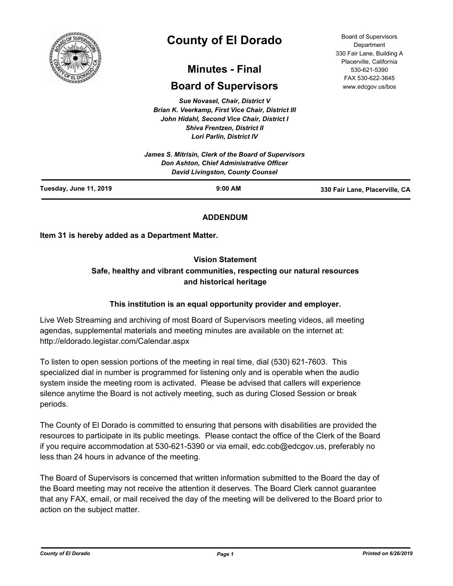

# **County of El Dorado**

# **Minutes - Final**

# **Board of Supervisors**

*Sue Novasel, Chair, District V Brian K. Veerkamp, First Vice Chair, District III John Hidahl, Second Vice Chair, District I Shiva Frentzen, District II Lori Parlin, District IV*

|                               | James S. Mitrisin, Clerk of the Board of Supervisors<br><b>Don Ashton, Chief Administrative Officer</b><br>David Livingston, County Counsel |                                |
|-------------------------------|---------------------------------------------------------------------------------------------------------------------------------------------|--------------------------------|
| <b>Tuesday, June 11, 2019</b> | $9:00$ AM                                                                                                                                   | 330 Fair Lane, Placerville, CA |

# **ADDENDUM**

**Item 31 is hereby added as a Department Matter.**

# **Vision Statement**

# **Safe, healthy and vibrant communities, respecting our natural resources and historical heritage**

# **This institution is an equal opportunity provider and employer.**

Live Web Streaming and archiving of most Board of Supervisors meeting videos, all meeting agendas, supplemental materials and meeting minutes are available on the internet at: http://eldorado.legistar.com/Calendar.aspx

To listen to open session portions of the meeting in real time, dial (530) 621-7603. This specialized dial in number is programmed for listening only and is operable when the audio system inside the meeting room is activated. Please be advised that callers will experience silence anytime the Board is not actively meeting, such as during Closed Session or break periods.

The County of El Dorado is committed to ensuring that persons with disabilities are provided the resources to participate in its public meetings. Please contact the office of the Clerk of the Board if you require accommodation at 530-621-5390 or via email, edc.cob@edcgov.us, preferably no less than 24 hours in advance of the meeting.

The Board of Supervisors is concerned that written information submitted to the Board the day of the Board meeting may not receive the attention it deserves. The Board Clerk cannot guarantee that any FAX, email, or mail received the day of the meeting will be delivered to the Board prior to action on the subject matter.

Board of Supervisors Department 330 Fair Lane, Building A Placerville, California 530-621-5390 FAX 530-622-3645 www.edcgov.us/bos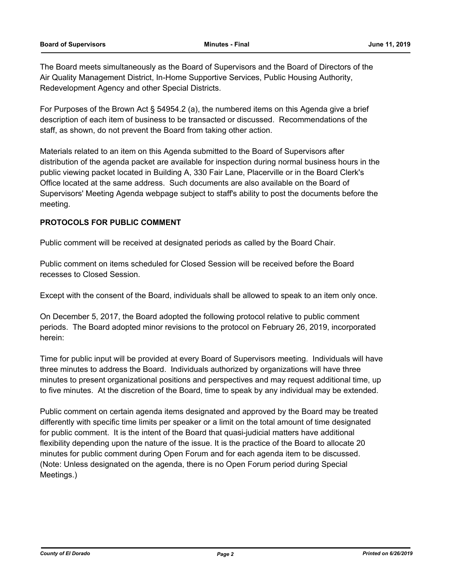The Board meets simultaneously as the Board of Supervisors and the Board of Directors of the Air Quality Management District, In-Home Supportive Services, Public Housing Authority, Redevelopment Agency and other Special Districts.

For Purposes of the Brown Act § 54954.2 (a), the numbered items on this Agenda give a brief description of each item of business to be transacted or discussed. Recommendations of the staff, as shown, do not prevent the Board from taking other action.

Materials related to an item on this Agenda submitted to the Board of Supervisors after distribution of the agenda packet are available for inspection during normal business hours in the public viewing packet located in Building A, 330 Fair Lane, Placerville or in the Board Clerk's Office located at the same address. Such documents are also available on the Board of Supervisors' Meeting Agenda webpage subject to staff's ability to post the documents before the meeting.

# **PROTOCOLS FOR PUBLIC COMMENT**

Public comment will be received at designated periods as called by the Board Chair.

Public comment on items scheduled for Closed Session will be received before the Board recesses to Closed Session.

Except with the consent of the Board, individuals shall be allowed to speak to an item only once.

On December 5, 2017, the Board adopted the following protocol relative to public comment periods. The Board adopted minor revisions to the protocol on February 26, 2019, incorporated herein:

Time for public input will be provided at every Board of Supervisors meeting. Individuals will have three minutes to address the Board. Individuals authorized by organizations will have three minutes to present organizational positions and perspectives and may request additional time, up to five minutes. At the discretion of the Board, time to speak by any individual may be extended.

Public comment on certain agenda items designated and approved by the Board may be treated differently with specific time limits per speaker or a limit on the total amount of time designated for public comment. It is the intent of the Board that quasi-judicial matters have additional flexibility depending upon the nature of the issue. It is the practice of the Board to allocate 20 minutes for public comment during Open Forum and for each agenda item to be discussed. (Note: Unless designated on the agenda, there is no Open Forum period during Special Meetings.)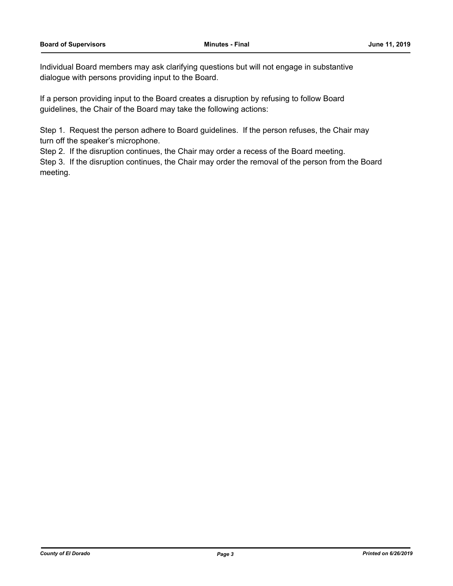Individual Board members may ask clarifying questions but will not engage in substantive dialogue with persons providing input to the Board.

If a person providing input to the Board creates a disruption by refusing to follow Board guidelines, the Chair of the Board may take the following actions:

Step 1. Request the person adhere to Board guidelines. If the person refuses, the Chair may turn off the speaker's microphone.

Step 2. If the disruption continues, the Chair may order a recess of the Board meeting.

Step 3. If the disruption continues, the Chair may order the removal of the person from the Board meeting.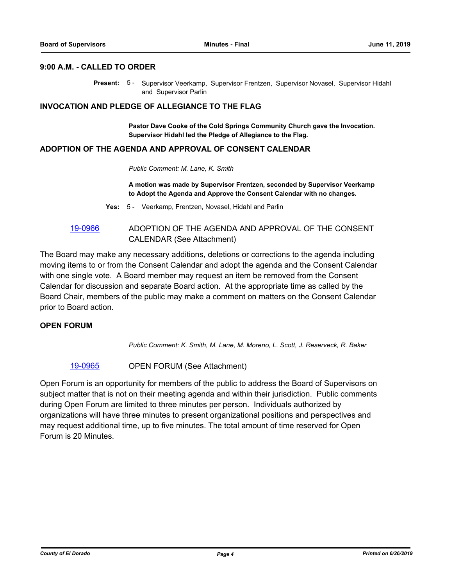# **9:00 A.M. - CALLED TO ORDER**

Present: 5 - Supervisor Veerkamp, Supervisor Frentzen, Supervisor Novasel, Supervisor Hidahl and Supervisor Parlin

#### **INVOCATION AND PLEDGE OF ALLEGIANCE TO THE FLAG**

**Pastor Dave Cooke of the Cold Springs Community Church gave the Invocation. Supervisor Hidahl led the Pledge of Allegiance to the Flag.**

# **ADOPTION OF THE AGENDA AND APPROVAL OF CONSENT CALENDAR**

*Public Comment: M. Lane, K. Smith*

**A motion was made by Supervisor Frentzen, seconded by Supervisor Veerkamp to Adopt the Agenda and Approve the Consent Calendar with no changes.**

**Yes:** 5 - Veerkamp, Frentzen, Novasel, Hidahl and Parlin

[19-0966](http://eldorado.legistar.com/gateway.aspx?m=l&id=/matter.aspx?key=26289) ADOPTION OF THE AGENDA AND APPROVAL OF THE CONSENT CALENDAR (See Attachment)

The Board may make any necessary additions, deletions or corrections to the agenda including moving items to or from the Consent Calendar and adopt the agenda and the Consent Calendar with one single vote. A Board member may request an item be removed from the Consent Calendar for discussion and separate Board action. At the appropriate time as called by the Board Chair, members of the public may make a comment on matters on the Consent Calendar prior to Board action.

## **OPEN FORUM**

*Public Comment: K. Smith, M. Lane, M. Moreno, L. Scott, J. Reserveck, R. Baker*

[19-0965](http://eldorado.legistar.com/gateway.aspx?m=l&id=/matter.aspx?key=26288) OPEN FORUM (See Attachment)

Open Forum is an opportunity for members of the public to address the Board of Supervisors on subject matter that is not on their meeting agenda and within their jurisdiction. Public comments during Open Forum are limited to three minutes per person. Individuals authorized by organizations will have three minutes to present organizational positions and perspectives and may request additional time, up to five minutes. The total amount of time reserved for Open Forum is 20 Minutes.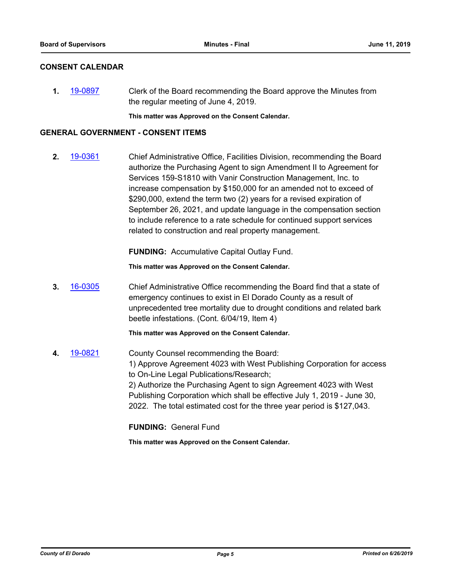# **CONSENT CALENDAR**

**1.** [19-0897](http://eldorado.legistar.com/gateway.aspx?m=l&id=/matter.aspx?key=26220) Clerk of the Board recommending the Board approve the Minutes from the regular meeting of June 4, 2019.

**This matter was Approved on the Consent Calendar.**

## **GENERAL GOVERNMENT - CONSENT ITEMS**

**2.** [19-0361](http://eldorado.legistar.com/gateway.aspx?m=l&id=/matter.aspx?key=25682) Chief Administrative Office, Facilities Division, recommending the Board authorize the Purchasing Agent to sign Amendment II to Agreement for Services 159-S1810 with Vanir Construction Management, Inc. to increase compensation by \$150,000 for an amended not to exceed of \$290,000, extend the term two (2) years for a revised expiration of September 26, 2021, and update language in the compensation section to include reference to a rate schedule for continued support services related to construction and real property management.

**FUNDING:** Accumulative Capital Outlay Fund.

**This matter was Approved on the Consent Calendar.**

**3.** [16-0305](http://eldorado.legistar.com/gateway.aspx?m=l&id=/matter.aspx?key=20961) Chief Administrative Office recommending the Board find that a state of emergency continues to exist in El Dorado County as a result of unprecedented tree mortality due to drought conditions and related bark beetle infestations. (Cont. 6/04/19, Item 4)

**This matter was Approved on the Consent Calendar.**

**4.** [19-0821](http://eldorado.legistar.com/gateway.aspx?m=l&id=/matter.aspx?key=26144) County Counsel recommending the Board: 1) Approve Agreement 4023 with West Publishing Corporation for access to On-Line Legal Publications/Research; 2) Authorize the Purchasing Agent to sign Agreement 4023 with West Publishing Corporation which shall be effective July 1, 2019 - June 30, 2022. The total estimated cost for the three year period is \$127,043.

**FUNDING:** General Fund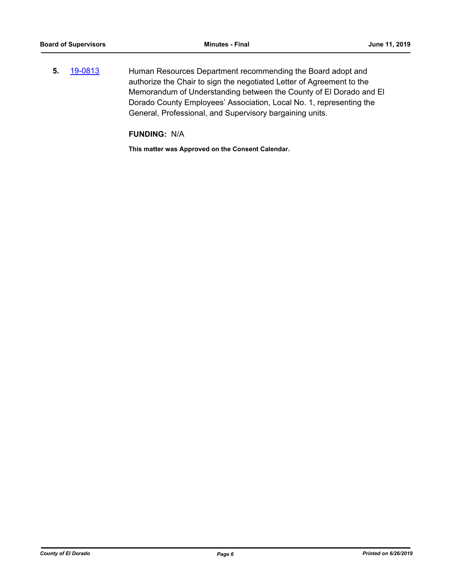**5.** [19-0813](http://eldorado.legistar.com/gateway.aspx?m=l&id=/matter.aspx?key=26136) Human Resources Department recommending the Board adopt and authorize the Chair to sign the negotiated Letter of Agreement to the Memorandum of Understanding between the County of El Dorado and El Dorado County Employees' Association, Local No. 1, representing the General, Professional, and Supervisory bargaining units.

**FUNDING:** N/A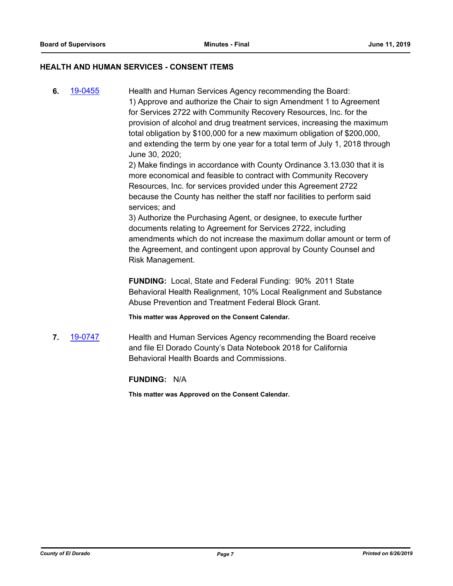# **HEALTH AND HUMAN SERVICES - CONSENT ITEMS**

**6.** [19-0455](http://eldorado.legistar.com/gateway.aspx?m=l&id=/matter.aspx?key=25776) Health and Human Services Agency recommending the Board: 1) Approve and authorize the Chair to sign Amendment 1 to Agreement for Services 2722 with Community Recovery Resources, Inc. for the provision of alcohol and drug treatment services, increasing the maximum total obligation by \$100,000 for a new maximum obligation of \$200,000, and extending the term by one year for a total term of July 1, 2018 through June 30, 2020;

2) Make findings in accordance with County Ordinance 3.13.030 that it is more economical and feasible to contract with Community Recovery Resources, Inc. for services provided under this Agreement 2722 because the County has neither the staff nor facilities to perform said services; and

3) Authorize the Purchasing Agent, or designee, to execute further documents relating to Agreement for Services 2722, including amendments which do not increase the maximum dollar amount or term of the Agreement, and contingent upon approval by County Counsel and Risk Management.

**FUNDING:** Local, State and Federal Funding: 90% 2011 State Behavioral Health Realignment, 10% Local Realignment and Substance Abuse Prevention and Treatment Federal Block Grant.

**This matter was Approved on the Consent Calendar.**

**7.** [19-0747](http://eldorado.legistar.com/gateway.aspx?m=l&id=/matter.aspx?key=26069) Health and Human Services Agency recommending the Board receive and file El Dorado County's Data Notebook 2018 for California Behavioral Health Boards and Commissions.

**FUNDING:** N/A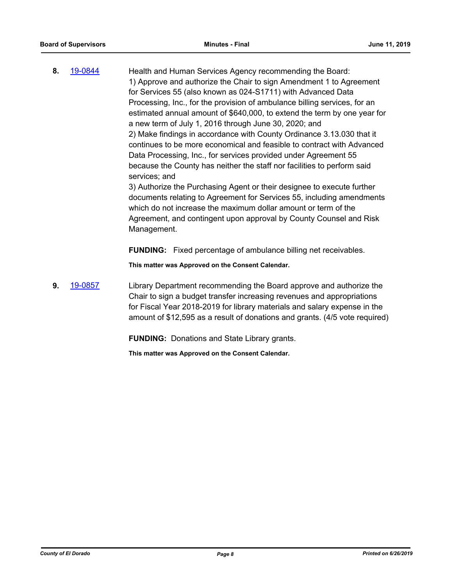**8.** [19-0844](http://eldorado.legistar.com/gateway.aspx?m=l&id=/matter.aspx?key=26167) Health and Human Services Agency recommending the Board: 1) Approve and authorize the Chair to sign Amendment 1 to Agreement for Services 55 (also known as 024-S1711) with Advanced Data Processing, Inc., for the provision of ambulance billing services, for an estimated annual amount of \$640,000, to extend the term by one year for a new term of July 1, 2016 through June 30, 2020; and 2) Make findings in accordance with County Ordinance 3.13.030 that it continues to be more economical and feasible to contract with Advanced Data Processing, Inc., for services provided under Agreement 55 because the County has neither the staff nor facilities to perform said services; and 3) Authorize the Purchasing Agent or their designee to execute further

documents relating to Agreement for Services 55, including amendments which do not increase the maximum dollar amount or term of the Agreement, and contingent upon approval by County Counsel and Risk Management.

**FUNDING:** Fixed percentage of ambulance billing net receivables.

**This matter was Approved on the Consent Calendar.**

**9.** [19-0857](http://eldorado.legistar.com/gateway.aspx?m=l&id=/matter.aspx?key=26180) Library Department recommending the Board approve and authorize the Chair to sign a budget transfer increasing revenues and appropriations for Fiscal Year 2018-2019 for library materials and salary expense in the amount of \$12,595 as a result of donations and grants. (4/5 vote required)

**FUNDING:** Donations and State Library grants.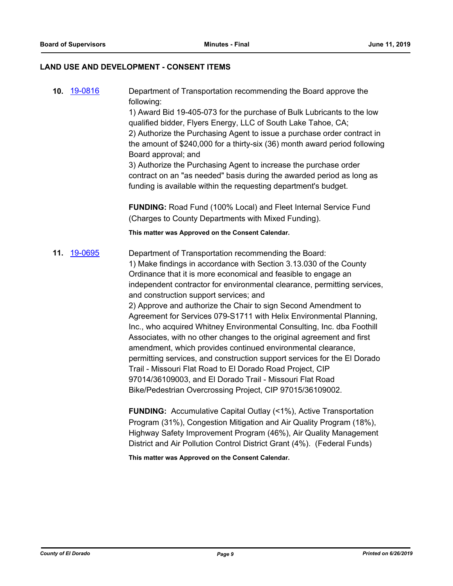## **LAND USE AND DEVELOPMENT - CONSENT ITEMS**

**10.** [19-0816](http://eldorado.legistar.com/gateway.aspx?m=l&id=/matter.aspx?key=26139) Department of Transportation recommending the Board approve the following: 1) Award Bid 19-405-073 for the purchase of Bulk Lubricants to the low qualified bidder, Flyers Energy, LLC of South Lake Tahoe, CA; 2) Authorize the Purchasing Agent to issue a purchase order contract in the amount of \$240,000 for a thirty-six (36) month award period following Board approval; and 3) Authorize the Purchasing Agent to increase the purchase order contract on an "as needed" basis during the awarded period as long as funding is available within the requesting department's budget.

**FUNDING:** Road Fund (100% Local) and Fleet Internal Service Fund (Charges to County Departments with Mixed Funding).

**This matter was Approved on the Consent Calendar.**

**11.** [19-0695](http://eldorado.legistar.com/gateway.aspx?m=l&id=/matter.aspx?key=26017) Department of Transportation recommending the Board: 1) Make findings in accordance with Section 3.13.030 of the County Ordinance that it is more economical and feasible to engage an independent contractor for environmental clearance, permitting services, and construction support services; and 2) Approve and authorize the Chair to sign Second Amendment to Agreement for Services 079-S1711 with Helix Environmental Planning, Inc., who acquired Whitney Environmental Consulting, Inc. dba Foothill Associates, with no other changes to the original agreement and first

> amendment, which provides continued environmental clearance, permitting services, and construction support services for the El Dorado Trail - Missouri Flat Road to El Dorado Road Project, CIP 97014/36109003, and El Dorado Trail - Missouri Flat Road Bike/Pedestrian Overcrossing Project, CIP 97015/36109002.

> **FUNDING:** Accumulative Capital Outlay (<1%), Active Transportation Program (31%), Congestion Mitigation and Air Quality Program (18%), Highway Safety Improvement Program (46%), Air Quality Management District and Air Pollution Control District Grant (4%). (Federal Funds)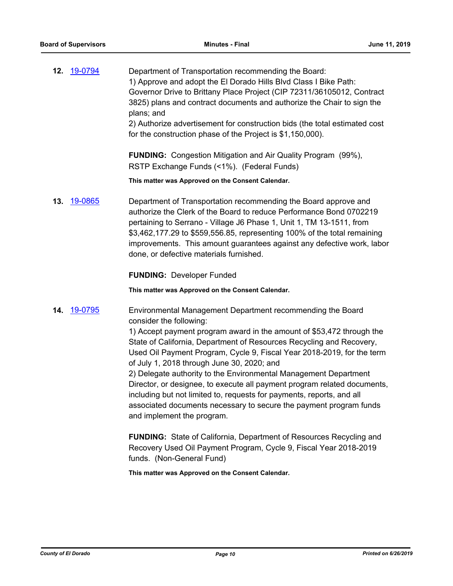|     | 12. 19-0794        | Department of Transportation recommending the Board:<br>1) Approve and adopt the El Dorado Hills Blvd Class I Bike Path:<br>Governor Drive to Brittany Place Project (CIP 72311/36105012, Contract<br>3825) plans and contract documents and authorize the Chair to sign the<br>plans; and<br>2) Authorize advertisement for construction bids (the total estimated cost<br>for the construction phase of the Project is \$1,150,000).                                                                                                                                                                                                                                                      |
|-----|--------------------|---------------------------------------------------------------------------------------------------------------------------------------------------------------------------------------------------------------------------------------------------------------------------------------------------------------------------------------------------------------------------------------------------------------------------------------------------------------------------------------------------------------------------------------------------------------------------------------------------------------------------------------------------------------------------------------------|
|     |                    | <b>FUNDING:</b> Congestion Mitigation and Air Quality Program (99%),<br>RSTP Exchange Funds (<1%). (Federal Funds)                                                                                                                                                                                                                                                                                                                                                                                                                                                                                                                                                                          |
|     |                    | This matter was Approved on the Consent Calendar.                                                                                                                                                                                                                                                                                                                                                                                                                                                                                                                                                                                                                                           |
| 13. | <u>19-0865</u>     | Department of Transportation recommending the Board approve and<br>authorize the Clerk of the Board to reduce Performance Bond 0702219<br>pertaining to Serrano - Village J6 Phase 1, Unit 1, TM 13-1511, from<br>\$3,462,177.29 to \$559,556.85, representing 100% of the total remaining<br>improvements. This amount guarantees against any defective work, labor<br>done, or defective materials furnished.                                                                                                                                                                                                                                                                             |
|     |                    | <b>FUNDING: Developer Funded</b>                                                                                                                                                                                                                                                                                                                                                                                                                                                                                                                                                                                                                                                            |
|     |                    | This matter was Approved on the Consent Calendar.                                                                                                                                                                                                                                                                                                                                                                                                                                                                                                                                                                                                                                           |
|     | <b>14.</b> 19-0795 | Environmental Management Department recommending the Board<br>consider the following:<br>1) Accept payment program award in the amount of \$53,472 through the<br>State of California, Department of Resources Recycling and Recovery,<br>Used Oil Payment Program, Cycle 9, Fiscal Year 2018-2019, for the term<br>of July 1, 2018 through June 30, 2020; and<br>2) Delegate authority to the Environmental Management Department<br>Director, or designee, to execute all payment program related documents,<br>including but not limited to, requests for payments, reports, and all<br>associated documents necessary to secure the payment program funds<br>and implement the program. |

**FUNDING:** State of California, Department of Resources Recycling and Recovery Used Oil Payment Program, Cycle 9, Fiscal Year 2018-2019 funds. (Non-General Fund)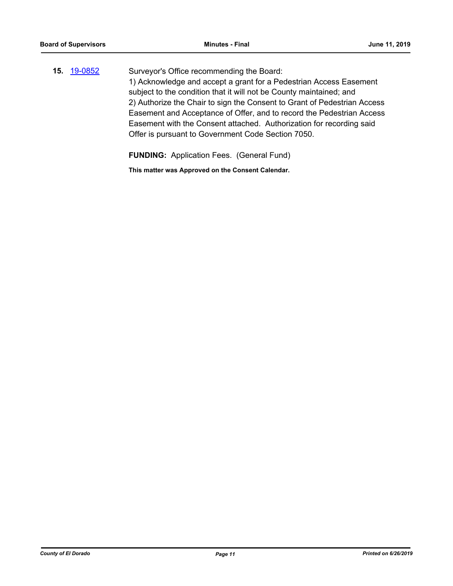**15.** [19-0852](http://eldorado.legistar.com/gateway.aspx?m=l&id=/matter.aspx?key=26175) Surveyor's Office recommending the Board: 1) Acknowledge and accept a grant for a Pedestrian Access Easement subject to the condition that it will not be County maintained; and 2) Authorize the Chair to sign the Consent to Grant of Pedestrian Access Easement and Acceptance of Offer, and to record the Pedestrian Access Easement with the Consent attached. Authorization for recording said Offer is pursuant to Government Code Section 7050.

**FUNDING:** Application Fees. (General Fund)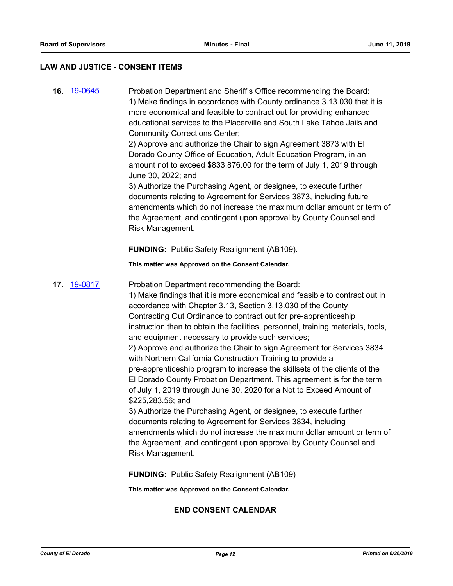#### **LAW AND JUSTICE - CONSENT ITEMS**

**16.** [19-0645](http://eldorado.legistar.com/gateway.aspx?m=l&id=/matter.aspx?key=25967) Probation Department and Sheriff's Office recommending the Board: 1) Make findings in accordance with County ordinance 3.13.030 that it is more economical and feasible to contract out for providing enhanced educational services to the Placerville and South Lake Tahoe Jails and Community Corrections Center;

> 2) Approve and authorize the Chair to sign Agreement 3873 with El Dorado County Office of Education, Adult Education Program, in an amount not to exceed \$833,876.00 for the term of July 1, 2019 through June 30, 2022; and

3) Authorize the Purchasing Agent, or designee, to execute further documents relating to Agreement for Services 3873, including future amendments which do not increase the maximum dollar amount or term of the Agreement, and contingent upon approval by County Counsel and Risk Management.

**FUNDING:** Public Safety Realignment (AB109).

**This matter was Approved on the Consent Calendar.**

## **17.** [19-0817](http://eldorado.legistar.com/gateway.aspx?m=l&id=/matter.aspx?key=26140) Probation Department recommending the Board:

1) Make findings that it is more economical and feasible to contract out in accordance with Chapter 3.13, Section 3.13.030 of the County Contracting Out Ordinance to contract out for pre-apprenticeship instruction than to obtain the facilities, personnel, training materials, tools, and equipment necessary to provide such services;

2) Approve and authorize the Chair to sign Agreement for Services 3834 with Northern California Construction Training to provide a pre-apprenticeship program to increase the skillsets of the clients of the El Dorado County Probation Department. This agreement is for the term of July 1, 2019 through June 30, 2020 for a Not to Exceed Amount of \$225,283.56; and

3) Authorize the Purchasing Agent, or designee, to execute further documents relating to Agreement for Services 3834, including amendments which do not increase the maximum dollar amount or term of the Agreement, and contingent upon approval by County Counsel and Risk Management.

**FUNDING:** Public Safety Realignment (AB109)

**This matter was Approved on the Consent Calendar.**

#### **END CONSENT CALENDAR**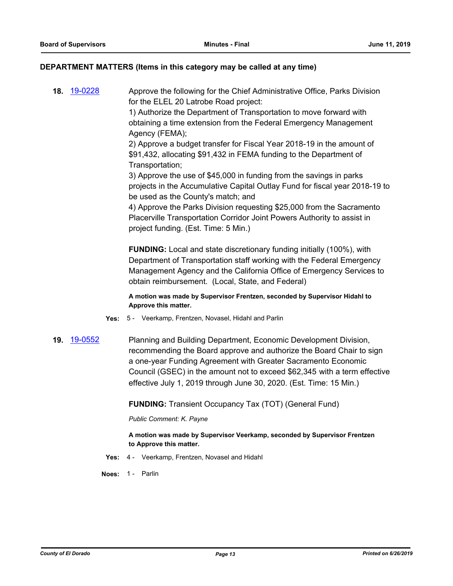## **DEPARTMENT MATTERS (Items in this category may be called at any time)**

**18.** [19-0228](http://eldorado.legistar.com/gateway.aspx?m=l&id=/matter.aspx?key=25549) Approve the following for the Chief Administrative Office, Parks Division for the ELEL 20 Latrobe Road project: 1) Authorize the Department of Transportation to move forward with

obtaining a time extension from the Federal Emergency Management Agency (FEMA); 2) Approve a budget transfer for Fiscal Year 2018-19 in the amount of

\$91,432, allocating \$91,432 in FEMA funding to the Department of Transportation;

3) Approve the use of \$45,000 in funding from the savings in parks projects in the Accumulative Capital Outlay Fund for fiscal year 2018-19 to be used as the County's match; and

4) Approve the Parks Division requesting \$25,000 from the Sacramento Placerville Transportation Corridor Joint Powers Authority to assist in project funding. (Est. Time: 5 Min.)

**FUNDING:** Local and state discretionary funding initially (100%), with Department of Transportation staff working with the Federal Emergency Management Agency and the California Office of Emergency Services to obtain reimbursement. (Local, State, and Federal)

**A motion was made by Supervisor Frentzen, seconded by Supervisor Hidahl to Approve this matter.**

- **Yes:** 5 Veerkamp, Frentzen, Novasel, Hidahl and Parlin
- **19.** [19-0552](http://eldorado.legistar.com/gateway.aspx?m=l&id=/matter.aspx?key=25873) Planning and Building Department, Economic Development Division, recommending the Board approve and authorize the Board Chair to sign a one-year Funding Agreement with Greater Sacramento Economic Council (GSEC) in the amount not to exceed \$62,345 with a term effective effective July 1, 2019 through June 30, 2020. (Est. Time: 15 Min.)

**FUNDING:** Transient Occupancy Tax (TOT) (General Fund)

*Public Comment: K. Payne*

**A motion was made by Supervisor Veerkamp, seconded by Supervisor Frentzen to Approve this matter.**

**Yes:** 4 - Veerkamp, Frentzen, Novasel and Hidahl

**Noes:** 1 - Parlin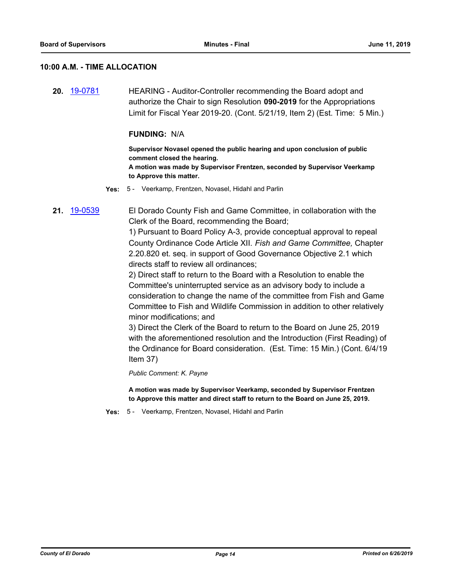#### **10:00 A.M. - TIME ALLOCATION**

**20.** [19-0781](http://eldorado.legistar.com/gateway.aspx?m=l&id=/matter.aspx?key=26103) HEARING - Auditor-Controller recommending the Board adopt and authorize the Chair to sign Resolution **090-2019** for the Appropriations Limit for Fiscal Year 2019-20. (Cont. 5/21/19, Item 2) (Est. Time: 5 Min.)

#### **FUNDING:** N/A

**Supervisor Novasel opened the public hearing and upon conclusion of public comment closed the hearing. A motion was made by Supervisor Frentzen, seconded by Supervisor Veerkamp to Approve this matter.**

- **Yes:** 5 Veerkamp, Frentzen, Novasel, Hidahl and Parlin
- **21.** [19-0539](http://eldorado.legistar.com/gateway.aspx?m=l&id=/matter.aspx?key=25860) El Dorado County Fish and Game Committee, in collaboration with the Clerk of the Board, recommending the Board;

1) Pursuant to Board Policy A-3, provide conceptual approval to repeal County Ordinance Code Article XII. *Fish and Game Committee,* Chapter 2.20.820 et. seq. in support of Good Governance Objective 2.1 which directs staff to review all ordinances;

2) Direct staff to return to the Board with a Resolution to enable the Committee's uninterrupted service as an advisory body to include a consideration to change the name of the committee from Fish and Game Committee to Fish and Wildlife Commission in addition to other relatively minor modifications; and

3) Direct the Clerk of the Board to return to the Board on June 25, 2019 with the aforementioned resolution and the Introduction (First Reading) of the Ordinance for Board consideration. (Est. Time: 15 Min.) (Cont. 6/4/19 Item 37)

*Public Comment: K. Payne*

**A motion was made by Supervisor Veerkamp, seconded by Supervisor Frentzen to Approve this matter and direct staff to return to the Board on June 25, 2019.**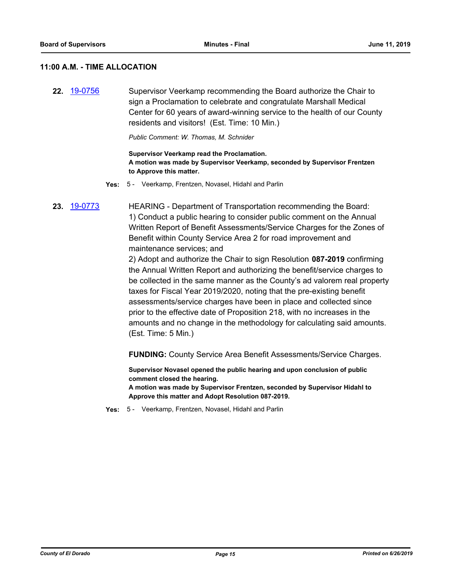#### **11:00 A.M. - TIME ALLOCATION**

**22.** [19-0756](http://eldorado.legistar.com/gateway.aspx?m=l&id=/matter.aspx?key=26078) Supervisor Veerkamp recommending the Board authorize the Chair to sign a Proclamation to celebrate and congratulate Marshall Medical Center for 60 years of award-winning service to the health of our County residents and visitors! (Est. Time: 10 Min.)

*Public Comment: W. Thomas, M. Schnider*

#### **Supervisor Veerkamp read the Proclamation. A motion was made by Supervisor Veerkamp, seconded by Supervisor Frentzen to Approve this matter.**

**Yes:** 5 - Veerkamp, Frentzen, Novasel, Hidahl and Parlin

**23.** [19-0773](http://eldorado.legistar.com/gateway.aspx?m=l&id=/matter.aspx?key=26095) HEARING - Department of Transportation recommending the Board: 1) Conduct a public hearing to consider public comment on the Annual Written Report of Benefit Assessments/Service Charges for the Zones of Benefit within County Service Area 2 for road improvement and maintenance services; and

> 2) Adopt and authorize the Chair to sign Resolution **087-2019** confirming the Annual Written Report and authorizing the benefit/service charges to be collected in the same manner as the County's ad valorem real property taxes for Fiscal Year 2019/2020, noting that the pre-existing benefit assessments/service charges have been in place and collected since prior to the effective date of Proposition 218, with no increases in the amounts and no change in the methodology for calculating said amounts. (Est. Time: 5 Min.)

**FUNDING:** County Service Area Benefit Assessments/Service Charges.

**Supervisor Novasel opened the public hearing and upon conclusion of public comment closed the hearing.**

**A motion was made by Supervisor Frentzen, seconded by Supervisor Hidahl to Approve this matter and Adopt Resolution 087-2019.**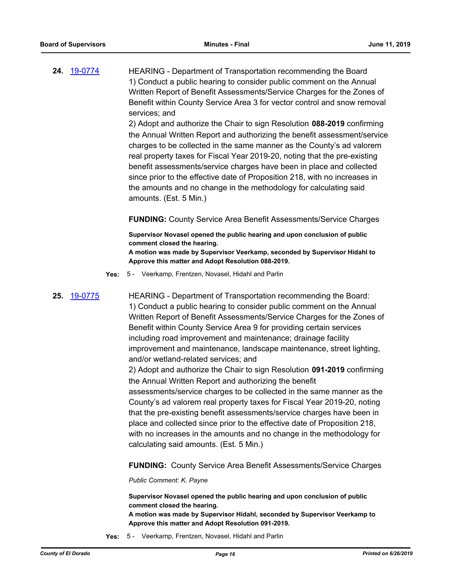**24.** [19-0774](http://eldorado.legistar.com/gateway.aspx?m=l&id=/matter.aspx?key=26096) HEARING - Department of Transportation recommending the Board 1) Conduct a public hearing to consider public comment on the Annual Written Report of Benefit Assessments/Service Charges for the Zones of Benefit within County Service Area 3 for vector control and snow removal services; and

> 2) Adopt and authorize the Chair to sign Resolution **088-2019** confirming the Annual Written Report and authorizing the benefit assessment/service charges to be collected in the same manner as the County's ad valorem real property taxes for Fiscal Year 2019-20, noting that the pre-existing benefit assessments/service charges have been in place and collected since prior to the effective date of Proposition 218, with no increases in the amounts and no change in the methodology for calculating said amounts. (Est. 5 Min.)

## **FUNDING:** County Service Area Benefit Assessments/Service Charges

**Supervisor Novasel opened the public hearing and upon conclusion of public comment closed the hearing.**

**A motion was made by Supervisor Veerkamp, seconded by Supervisor Hidahl to Approve this matter and Adopt Resolution 088-2019.**

**Yes:** 5 - Veerkamp, Frentzen, Novasel, Hidahl and Parlin

**25.** [19-0775](http://eldorado.legistar.com/gateway.aspx?m=l&id=/matter.aspx?key=26097) HEARING - Department of Transportation recommending the Board: 1) Conduct a public hearing to consider public comment on the Annual Written Report of Benefit Assessments/Service Charges for the Zones of Benefit within County Service Area 9 for providing certain services including road improvement and maintenance; drainage facility improvement and maintenance, landscape maintenance, street lighting, and/or wetland-related services; and

> 2) Adopt and authorize the Chair to sign Resolution **091-2019** confirming the Annual Written Report and authorizing the benefit assessments/service charges to be collected in the same manner as the

> County's ad valorem real property taxes for Fiscal Year 2019-20, noting that the pre-existing benefit assessments/service charges have been in place and collected since prior to the effective date of Proposition 218, with no increases in the amounts and no change in the methodology for calculating said amounts. (Est. 5 Min.)

> **FUNDING:** County Service Area Benefit Assessments/Service Charges

*Public Comment: K. Payne*

**Supervisor Novasel opened the public hearing and upon conclusion of public comment closed the hearing. A motion was made by Supervisor Hidahl, seconded by Supervisor Veerkamp to Approve this matter and Adopt Resolution 091-2019.**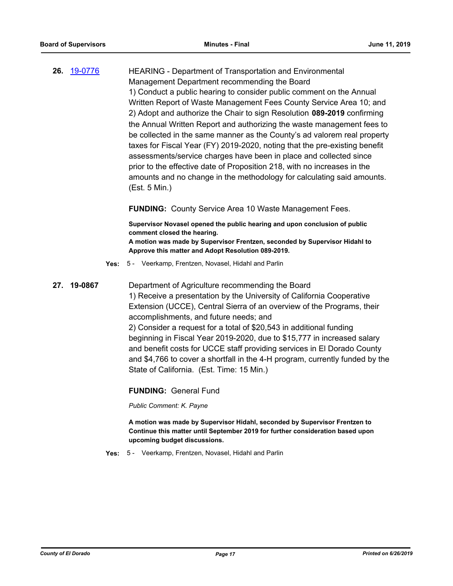**26.** [19-0776](http://eldorado.legistar.com/gateway.aspx?m=l&id=/matter.aspx?key=26098) HEARING - Department of Transportation and Environmental Management Department recommending the Board 1) Conduct a public hearing to consider public comment on the Annual Written Report of Waste Management Fees County Service Area 10; and 2) Adopt and authorize the Chair to sign Resolution **089-2019** confirming the Annual Written Report and authorizing the waste management fees to be collected in the same manner as the County's ad valorem real property taxes for Fiscal Year (FY) 2019-2020, noting that the pre-existing benefit assessments/service charges have been in place and collected since prior to the effective date of Proposition 218, with no increases in the amounts and no change in the methodology for calculating said amounts. (Est. 5 Min.)

**FUNDING:** County Service Area 10 Waste Management Fees.

**Supervisor Novasel opened the public hearing and upon conclusion of public comment closed the hearing. A motion was made by Supervisor Frentzen, seconded by Supervisor Hidahl to Approve this matter and Adopt Resolution 089-2019.**

- **Yes:** 5 Veerkamp, Frentzen, Novasel, Hidahl and Parlin
- **27. 19-0867** Department of Agriculture recommending the Board 1) Receive a presentation by the University of California Cooperative Extension (UCCE), Central Sierra of an overview of the Programs, their accomplishments, and future needs; and 2) Consider a request for a total of \$20,543 in additional funding beginning in Fiscal Year 2019-2020, due to \$15,777 in increased salary and benefit costs for UCCE staff providing services in El Dorado County and \$4,766 to cover a shortfall in the 4-H program, currently funded by the State of California. (Est. Time: 15 Min.)

**FUNDING:** General Fund

*Public Comment: K. Payne*

**A motion was made by Supervisor Hidahl, seconded by Supervisor Frentzen to Continue this matter until September 2019 for further consideration based upon upcoming budget discussions.**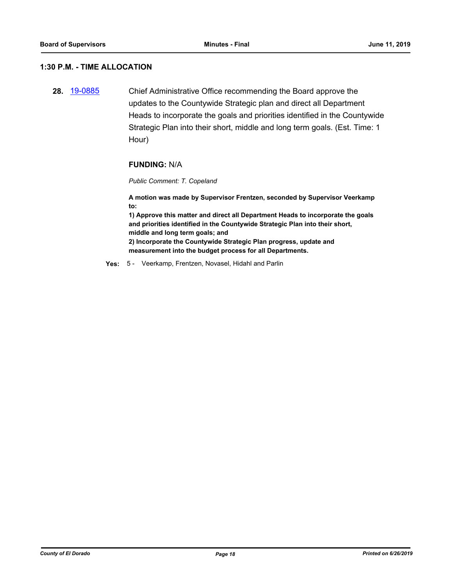# **1:30 P.M. - TIME ALLOCATION**

**28.** [19-0885](http://eldorado.legistar.com/gateway.aspx?m=l&id=/matter.aspx?key=26208) Chief Administrative Office recommending the Board approve the updates to the Countywide Strategic plan and direct all Department Heads to incorporate the goals and priorities identified in the Countywide Strategic Plan into their short, middle and long term goals. (Est. Time: 1 Hour)

#### **FUNDING:** N/A

#### *Public Comment: T. Copeland*

**A motion was made by Supervisor Frentzen, seconded by Supervisor Veerkamp to:**

**1) Approve this matter and direct all Department Heads to incorporate the goals and priorities identified in the Countywide Strategic Plan into their short, middle and long term goals; and 2) Incorporate the Countywide Strategic Plan progress, update and measurement into the budget process for all Departments.**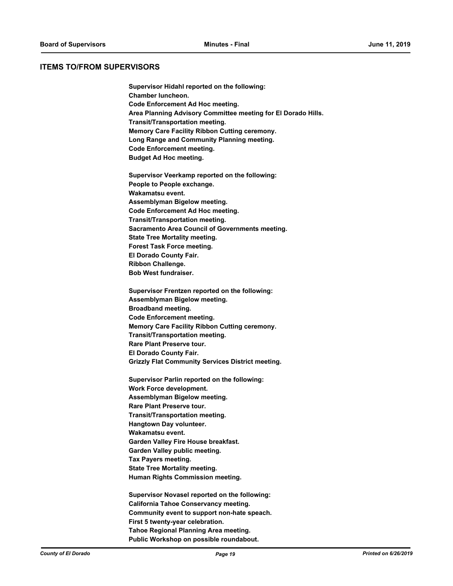#### **ITEMS TO/FROM SUPERVISORS**

**Supervisor Hidahl reported on the following: Chamber luncheon. Code Enforcement Ad Hoc meeting. Area Planning Advisory Committee meeting for El Dorado Hills. Transit/Transportation meeting. Memory Care Facility Ribbon Cutting ceremony. Long Range and Community Planning meeting. Code Enforcement meeting. Budget Ad Hoc meeting.**

**Supervisor Veerkamp reported on the following: People to People exchange. Wakamatsu event. Assemblyman Bigelow meeting. Code Enforcement Ad Hoc meeting. Transit/Transportation meeting. Sacramento Area Council of Governments meeting. State Tree Mortality meeting. Forest Task Force meeting. El Dorado County Fair. Ribbon Challenge. Bob West fundraiser.**

**Supervisor Frentzen reported on the following: Assemblyman Bigelow meeting. Broadband meeting. Code Enforcement meeting. Memory Care Facility Ribbon Cutting ceremony. Transit/Transportation meeting. Rare Plant Preserve tour. El Dorado County Fair. Grizzly Flat Community Services District meeting.**

**Supervisor Parlin reported on the following: Work Force development. Assemblyman Bigelow meeting. Rare Plant Preserve tour. Transit/Transportation meeting. Hangtown Day volunteer. Wakamatsu event. Garden Valley Fire House breakfast. Garden Valley public meeting. Tax Payers meeting. State Tree Mortality meeting. Human Rights Commission meeting.**

**Supervisor Novasel reported on the following: California Tahoe Conservancy meeting. Community event to support non-hate speach. First 5 twenty-year celebration. Tahoe Regional Planning Area meeting. Public Workshop on possible roundabout.**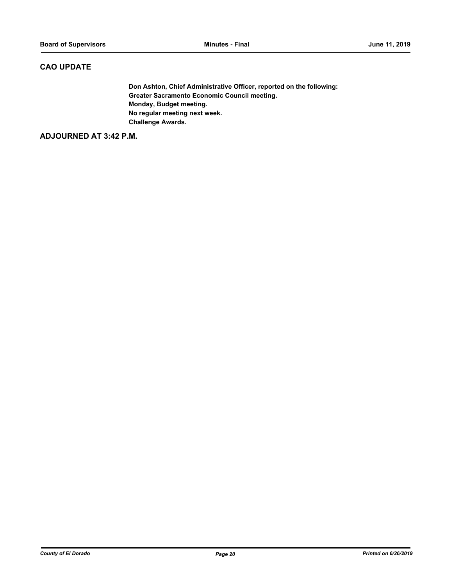# **CAO UPDATE**

**Don Ashton, Chief Administrative Officer, reported on the following: Greater Sacramento Economic Council meeting. Monday, Budget meeting. No regular meeting next week. Challenge Awards.**

**ADJOURNED AT 3:42 P.M.**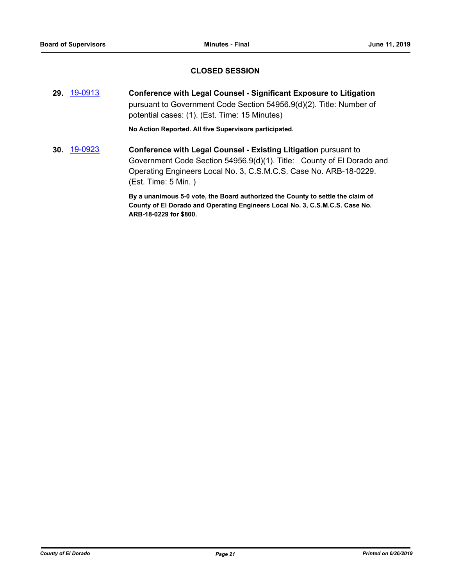# **CLOSED SESSION**

**29.** [19-0913](http://eldorado.legistar.com/gateway.aspx?m=l&id=/matter.aspx?key=26236) **Conference with Legal Counsel - Significant Exposure to Litigation** pursuant to Government Code Section 54956.9(d)(2). Title: Number of potential cases: (1). (Est. Time: 15 Minutes)

**No Action Reported. All five Supervisors participated.**

**30.** [19-0923](http://eldorado.legistar.com/gateway.aspx?m=l&id=/matter.aspx?key=26246) **Conference with Legal Counsel - Existing Litigation** pursuant to Government Code Section 54956.9(d)(1). Title: County of El Dorado and Operating Engineers Local No. 3, C.S.M.C.S. Case No. ARB-18-0229. (Est. Time: 5 Min. )

> **By a unanimous 5-0 vote, the Board authorized the County to settle the claim of County of El Dorado and Operating Engineers Local No. 3, C.S.M.C.S. Case No. ARB-18-0229 for \$800.**